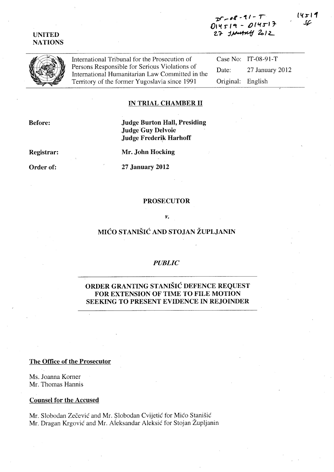### UNITED **NATIONS**

# 7f,...4~ ~1/- *I*  014519 - 014517<br>27 JAnu<del>s</del>ny 212



International Tribunal for the Prosecution of Persons Responsible for Serious Violations of International Humanitarian Law Committed in the Territory of the former Yugoslavia since 1991

Case No: IT-08-91-T Date: 27 January 2012 Original: English

### IN TRIAL CHAMBER 11

Before:

# Judge Burton Hall, Presiding Judge 'Guy Delvoie Judge Frederik Harhoff

Registrar:

Order of:

Mr. John Hocking

27 January 2012

### PROSECUTOR

#### *v.*

# MICO STANISIC AND STOJAN ZUPLJANIN

### *PUBLIC*

## ORDER GRANTING STANISIC DEFENCE REQUEST FOR EXTENSION OF TIME TO FILE MOTION SEEKING TO PRESENT EVIDENCE IN REJOINDER

#### The Office of the Prosecutor

Ms. Joanna Korner Mr. Thomas Hannis

### Counsel for the Accused

Mr. Slobodan Zečević and Mr. Slobodan Cvijetić for Mićo Stanišić Mr. Dragan Krgovic and Mr. A'leksandar Aleksic for Stojan Zupljanin 14511 د ا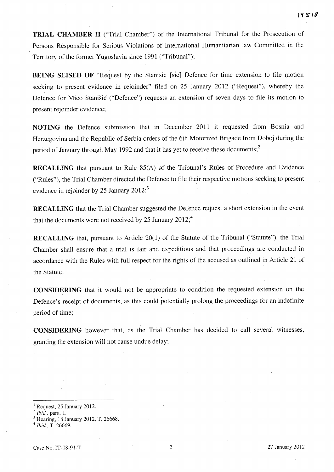**TRIAL CHAMBER II** ("Trial Chamber") of the International Tribunal for the Prosecution of Persons Responsible for Serious Violations of International Humanitarian law Committed in the Territory of the former Yugoslavia since 1991 ("Tribunal");

**BEING SEISED OF** "Request by the Stanisic [sic] Defence for time extension to file motion seeking to present evidence in rejoinder" filed on 25 January 2012 ("Request"), whereby the Defence for Mico Stanisic ("Defence") requests an extension of seven days to file its motion to present rejoinder evidence;<sup>1</sup>

**NOTING** the Defence submission that in December 2011 it requested from Bosnia and Herzegovina and the Republic of Serbia orders of the 6th Motorized Brigade from Doboj during the period of January through May 1992 and that it has yet to receive these documents;<sup>2</sup>

**RECALLING** that pursuant to Rule 85(A) of the Tribunal's Rules of Procedure and Evidence ("Rules"), the Trial Chamber directed the Defence to file their respective motions seeking to present evidence in rejoinder by 25 January  $2012$ ;

**RECALLING** that the Trial Chamber suggested the Defence request a short extension in the event that the documents were not received by 25 January  $2012$ ;<sup>4</sup>

**RECALLING** that, pursuant to Article 20(1) of the Statute of the Tribunal ("Statute"), the Trial Chamber shall ensure that a trial is fair and expeditious and that proceedings are conducted in accordance with the Rules with full respect for the rights of the accused as outlined in Article 21 of the Statute;

**CONSIDERING** that it would not be appropriate to condition the requested extension on' the Defence's receipt of documents, as this could potentially prolong the proceedings for an indefinite period of time;

**CONSIDERING** however that, as the Trial Chamber has decided to call several witnesses, granting the extension will not cause undue delay;

 $<sup>1</sup>$  Request, 25 January 2012.</sup>

<sup>2</sup>*Ibid.,* para. 1.

Hearing, 18 January 2012, T. 26668.

*<sup>4</sup> Ibid.,* T. 26669.